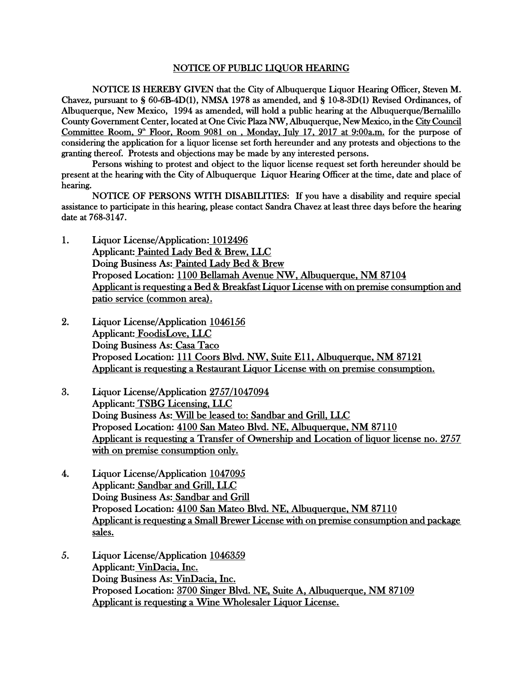## NOTICE OF PUBLIC LIQUOR HEARING

NOTICE IS HEREBY GIVEN that the City of Albuquerque Liquor Hearing Officer, Steven M. Chavez, pursuant to § 60-6B-4D(1), NMSA 1978 as amended, and § 10-8-3D(1) Revised Ordinances, of Albuquerque, New Mexico, 1994 as amended, will hold a public hearing at the Albuquerque/Bernalillo County Government Center, located at One Civic Plaza NW, Albuquerque, New Mexico, in the City Council Committee Room,  $9^{\omega}$  Floor, Room 9081 on, Monday, July 17, 2017 at 9:00a.m. for the purpose of considering the application for a liquor license set forth hereunder and any protests and objections to the granting thereof. Protests and objections may be made by any interested persons.

Persons wishing to protest and object to the liquor license request set forth hereunder should be present at the hearing with the City of Albuquerque Liquor Hearing Officer at the time, date and place of hearing.

NOTICE OF PERSONS WITH DISABILITIES: If you have a disability and require special assistance to participate in this hearing, please contact Sandra Chavez at least three days before the hearing date at 768-3147.

- 1. Liquor License/Application: 1012496 Applicant: Painted Lady Bed & Brew, LLC Doing Business As: Painted Lady Bed & Brew Proposed Location: 1100 Bellamah Avenue NW, Albuquerque, NM 87104 Applicant is requesting a Bed & Breakfast Liquor License with on premise consumption and patio service (common area).
- 2. Liquor License/Application 1046156 Applicant: FoodisLove, LLC Doing Business As: Casa Taco Proposed Location: 111 Coors Blvd. NW, Suite E11, Albuquerque, NM 87121 Applicant is requesting a Restaurant Liquor License with on premise consumption.
- 3. Liquor License/Application 2757/1047094 Applicant: TSBG Licensing, LLC Doing Business As: Will be leased to: Sandbar and Grill, LLC Proposed Location: 4100 San Mateo Blvd. NE, Albuquerque, NM 87110 Applicant is requesting a Transfer of Ownership and Location of liquor license no. 2757 with on premise consumption only.
- 4. Liquor License/Application 1047095 Applicant: Sandbar and Grill, LLC Doing Business As: Sandbar and Grill Proposed Location: 4100 San Mateo Blvd. NE, Albuquerque, NM 87110 Applicant is requesting a Small Brewer License with on premise consumption and package sales.
- 5. Liquor License/Application 1046359 Applicant: VinDacia, Inc. Doing Business As: VinDacia, Inc. Proposed Location: 3700 Singer Blvd. NE, Suite A, Albuquerque, NM 87109 Applicant is requesting a Wine Wholesaler Liquor License.